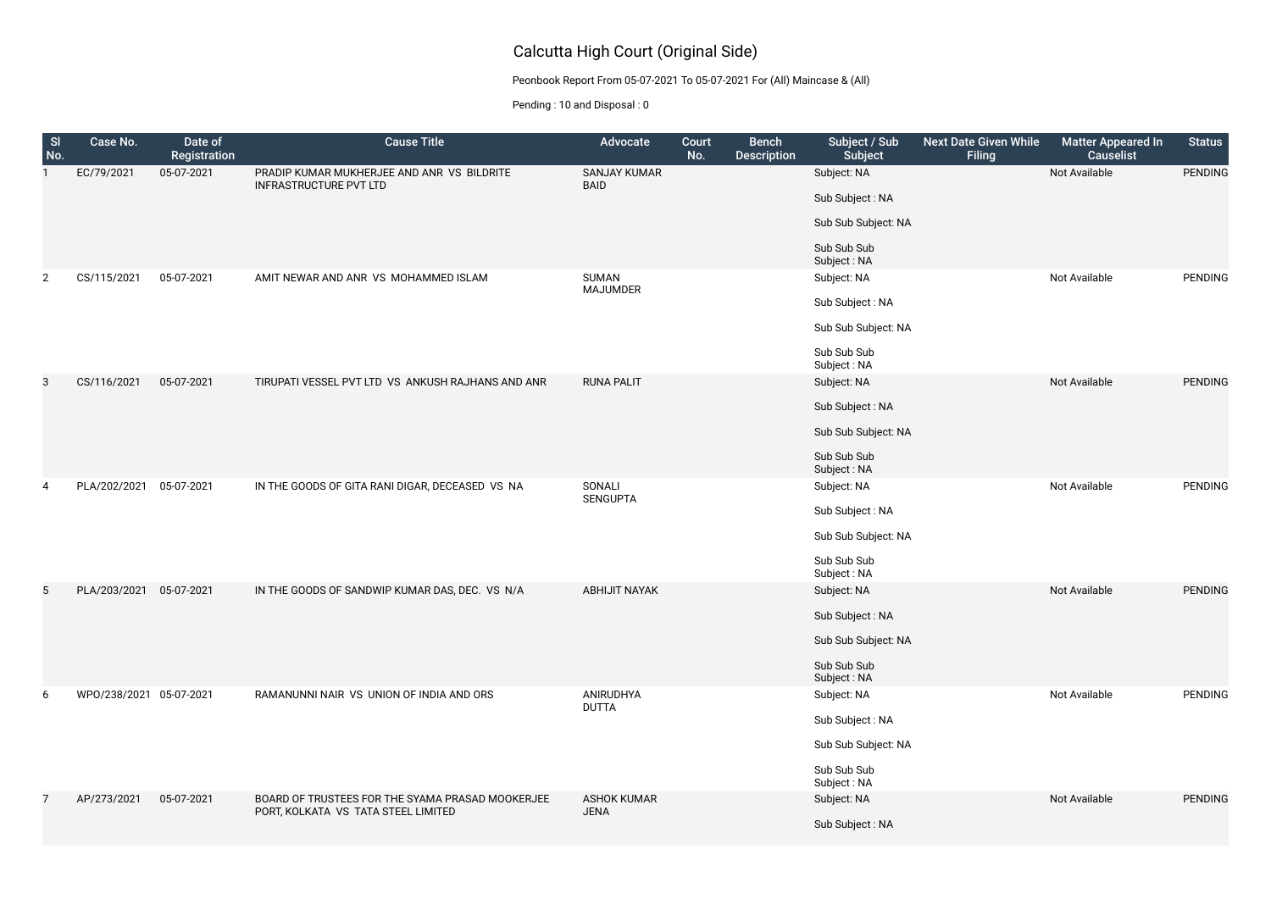## Calcutta High Court (Original Side)

Peonbook Report From 05-07-2021 To 05-07-2021 For (All) Maincase & (All)

Pending : 10 and Disposal : 0

| te Given While<br><b>Filing</b> | <b>Matter Appeared In</b><br><b>Causelist</b> | <b>Status</b>  |
|---------------------------------|-----------------------------------------------|----------------|
|                                 | Not Available                                 | <b>PENDING</b> |
|                                 | Not Available                                 | <b>PENDING</b> |
|                                 | Not Available                                 | <b>PENDING</b> |
|                                 | <b>Not Available</b>                          | <b>PENDING</b> |
|                                 | <b>Not Available</b>                          | <b>PENDING</b> |

Not Available **PENDING** 

Not Available PENDING

| SI<br>No.      | Case No.                | Date of<br>Registration | <b>Cause Title</b>                                                                      | <b>Advocate</b>                    | Court<br>No. | <b>Bench</b><br><b>Description</b> | Subject / Sub<br><b>Subject</b> | <b>Next Dat</b> |
|----------------|-------------------------|-------------------------|-----------------------------------------------------------------------------------------|------------------------------------|--------------|------------------------------------|---------------------------------|-----------------|
| 1              | EC/79/2021              | 05-07-2021              | PRADIP KUMAR MUKHERJEE AND ANR VS BILDRITE<br><b>INFRASTRUCTURE PVT LTD</b>             | <b>SANJAY KUMAR</b><br><b>BAID</b> |              |                                    | Subject: NA                     |                 |
|                |                         |                         |                                                                                         |                                    |              |                                    | Sub Subject: NA                 |                 |
|                |                         |                         |                                                                                         |                                    |              |                                    | Sub Sub Subject: NA             |                 |
|                |                         |                         |                                                                                         |                                    |              |                                    | Sub Sub Sub<br>Subject: NA      |                 |
| $\overline{2}$ | CS/115/2021             | 05-07-2021              | AMIT NEWAR AND ANR VS MOHAMMED ISLAM                                                    | <b>SUMAN</b><br><b>MAJUMDER</b>    |              |                                    | Subject: NA                     |                 |
|                |                         |                         |                                                                                         |                                    |              |                                    | Sub Subject: NA                 |                 |
|                |                         |                         |                                                                                         |                                    |              |                                    | Sub Sub Subject: NA             |                 |
|                |                         |                         |                                                                                         |                                    |              |                                    | Sub Sub Sub<br>Subject: NA      |                 |
| 3              | CS/116/2021             | 05-07-2021              | TIRUPATI VESSEL PVT LTD VS ANKUSH RAJHANS AND ANR                                       | <b>RUNA PALIT</b>                  |              |                                    | Subject: NA                     |                 |
|                |                         |                         |                                                                                         |                                    |              |                                    | Sub Subject: NA                 |                 |
|                |                         |                         |                                                                                         |                                    |              |                                    | Sub Sub Subject: NA             |                 |
|                |                         |                         |                                                                                         |                                    |              |                                    | Sub Sub Sub<br>Subject: NA      |                 |
| 4              | PLA/202/2021            | 05-07-2021              | IN THE GOODS OF GITA RANI DIGAR, DECEASED VS NA                                         | SONALI<br><b>SENGUPTA</b>          |              |                                    | Subject: NA                     |                 |
|                |                         |                         |                                                                                         |                                    |              |                                    | Sub Subject: NA                 |                 |
|                |                         |                         |                                                                                         |                                    |              |                                    | Sub Sub Subject: NA             |                 |
|                |                         |                         |                                                                                         |                                    |              |                                    | Sub Sub Sub<br>Subject: NA      |                 |
| 5              | PLA/203/2021            | 05-07-2021              | IN THE GOODS OF SANDWIP KUMAR DAS, DEC. VS N/A                                          | <b>ABHIJIT NAYAK</b>               |              |                                    | Subject: NA                     |                 |
|                |                         |                         |                                                                                         |                                    |              |                                    | Sub Subject: NA                 |                 |
|                |                         |                         |                                                                                         |                                    |              |                                    | Sub Sub Subject: NA             |                 |
|                |                         |                         |                                                                                         |                                    |              |                                    | Sub Sub Sub<br>Subject: NA      |                 |
| 6              | WPO/238/2021 05-07-2021 |                         | RAMANUNNI NAIR VS UNION OF INDIA AND ORS                                                | ANIRUDHYA<br><b>DUTTA</b>          |              |                                    | Subject: NA                     |                 |
|                |                         |                         |                                                                                         |                                    |              |                                    | Sub Subject: NA                 |                 |
|                |                         |                         |                                                                                         |                                    |              |                                    | Sub Sub Subject: NA             |                 |
|                |                         |                         |                                                                                         |                                    |              |                                    | Sub Sub Sub<br>Subject: NA      |                 |
| 7              | AP/273/2021             | 05-07-2021              | BOARD OF TRUSTEES FOR THE SYAMA PRASAD MOOKERJEE<br>PORT, KOLKATA VS TATA STEEL LIMITED | <b>ASHOK KUMAR</b><br><b>JENA</b>  |              |                                    | Subject: NA                     |                 |
|                |                         |                         |                                                                                         |                                    |              |                                    | Sub Subject: NA                 |                 |